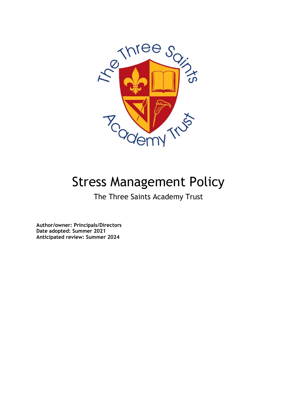

# Stress Management Policy

The Three Saints Academy Trust

**Author/owner: Principals/Directors Date adopted: Summer 2021 Anticipated review: Summer 2024**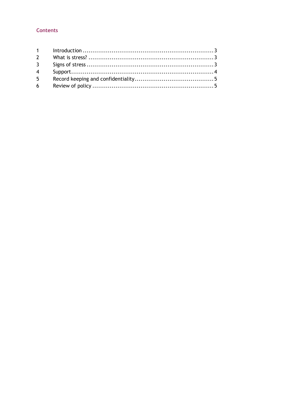## **Contents**

| 3 <sup>7</sup> |  |
|----------------|--|
|                |  |
| $5^{\circ}$    |  |
| $6 \qquad$     |  |
|                |  |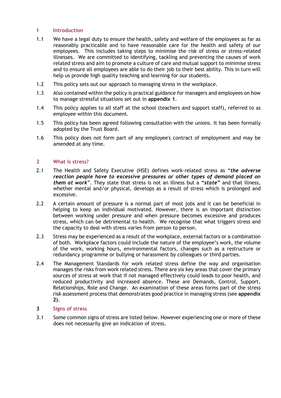## **1 Introduction**

- 1.1 We have a legal duty to ensure the health, safety and welfare of the employees as far as reasonably practicable and to have reasonable care for the health and safety of our employees. This includes taking steps to minimise the risk of stress or stress-related illnesses. We are committed to identifying, tackling and preventing the causes of work related stress and aim to promote a culture of care and mutual support to minimise stress and to ensure all employees are able to do their job to their best ability. This in turn will help us provide high quality teaching and learning for our students.
- 1.2 This policy sets out our approach to managing stress in the workplace.
- 1.3 Also contained within the policy is practical guidance for managers and employees on how to manage stressful situations set out in **appendix 1**.
- 1.4 This policy applies to all staff at the school (teachers and support staff), referred to as employee within this document.
- 1.5 This policy has been agreed following consultation with the unions. It has been formally adopted by the Trust Board.
- 1.6 This policy does not form part of any employee's contract of employment and may be amended at any time.

## **2 What is stress?**

- 2.1 The Health and Safety Executive (HSE) defines work-related stress as "*the adverse reaction people have to excessive pressures or other types of demand placed on them at work*". They state that stress is not an illness but a *"state"* and that illness, whether mental and/or physical, develops as a result of stress which is prolonged and excessive.
- 2.2 A certain amount of pressure is a normal part of most jobs and it can be beneficial in helping to keep an individual motivated. However, there is an important distinction between working under pressure and when pressure becomes excessive and produces stress, which can be detrimental to health. We recognise that what triggers stress and the capacity to deal with stress varies from person to person.
- 2.3 Stress may be experienced as a result of the workplace, external factors or a combination of both. Workplace factors could include the nature of the employee's work, the volume of the work, working hours, environmental factors, changes such as a restructure or redundancy programme or bullying or harassment by colleagues or third parties.
- 2.4 The Management Standards for work related stress define the way and organisation manages the risks from work related stress. There are six key areas that cover the primary sources of stress at work that if not managed effectively could leads to poor health, and reduced productivity and increased absence. These are Demands, Control, Support, Relationships, Role and Change. An examination of these areas forms part of the stress risk assessment process that demonstrates good practice in managing stress (see **appendix 2)**.
- **3 Signs of stress**
- 3.1 Some common signs of stress are listed below. However experiencing one or more of these does not necessarily give an indication of stress.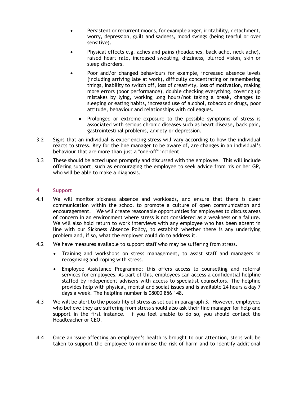- Persistent or recurrent moods, for example anger, irritability, detachment, worry, depression, guilt and sadness, mood swings (being tearful or over sensitive).
- Physical effects e.g. aches and pains (headaches, back ache, neck ache), raised heart rate, increased sweating, dizziness, blurred vision, skin or sleep disorders.
- Poor and/or changed behaviours for example, increased absence levels (including arriving late at work), difficulty concentrating or remembering things, inability to switch off, loss of creativity, loss of motivation, making more errors (poor performance), double checking everything, covering up mistakes by lying, working long hours/not taking a break, changes to sleeping or eating habits, increased use of alcohol, tobacco or drugs, poor attitude, behaviour and relationships with colleagues.
	- Prolonged or extreme exposure to the possible symptoms of stress is associated with serious chronic diseases such as heart disease, back pain, gastrointestinal problems, anxiety or depression.
- 3.2 Signs that an individual is experiencing stress will vary according to how the individual reacts to stress. Key for the line manager to be aware of, are changes in an individual's behaviour that are more than just a "one-off" incident.
- 3.3 These should be acted upon promptly and discussed with the employee. This will include offering support, such as encouraging the employee to seek advice from his or her GP, who will be able to make a diagnosis.

## **4 Support**

- 4.1 We will monitor sickness absence and workloads, and ensure that there is clear communication within the school to promote a culture of open communication and encouragement. We will create reasonable opportunities for employees to discuss areas of concern in an environment where stress is not considered as a weakness or a failure. We will also hold return to work interviews with any employee who has been absent in line with our Sickness Absence Policy, to establish whether there is any underlying problem and, if so, what the employer could do to address it.
- 4.2 We have measures available to support staff who may be suffering from stress.
	- Training and workshops on stress management, to assist staff and managers in recognising and coping with stress.
	- Employee Assistance Programme; this offers access to counselling and referral services for employees. As part of this, employees can access a confidential helpline staffed by independent advisers with access to specialist counsellors. The helpline provides help with physical, mental and social issues and is available 24 hours a day 7 days a week. The helpline number is 08000 856 148.
- 4.3 We will be alert to the possibility of stress as set out in paragraph 3. However, employees who believe they are suffering from stress should also ask their line manager for help and support in the first instance. If you feel unable to do so, you should contact the Headteacher or CEO.
- 4.4 Once an issue affecting an employee's health is brought to our attention, steps will be taken to support the employee to minimise the risk of harm and to identify additional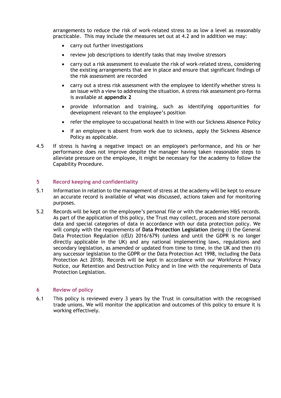arrangements to reduce the risk of work-related stress to as low a level as reasonably practicable. This may include the measures set out at 4.2 and in addition we may:

- carry out further investigations
- review job descriptions to identify tasks that may involve stressors
- carry out a risk assessment to evaluate the risk of work-related stress, considering the existing arrangements that are in place and ensure that significant findings of the risk assessment are recorded
- carry out a stress risk assessment with the employee to identify whether stress is an issue with a view to addressing the situation. A stress risk assessment pro-forma is available at **appendix 2**
- provide information and training, such as identifying opportunities for development relevant to the employee's position
- refer the employee to occupational health in line with our Sickness Absence Policy
- if an employee is absent from work due to sickness, apply the Sickness Absence Policy as applicable.
- 4.5 If stress is having a negative impact on an employee's performance, and his or her performance does not improve despite the manager having taken reasonable steps to alleviate pressure on the employee, it might be necessary for the academy to follow the Capability Procedure.

## **5 Record keeping and confidentiality**

- 5.1 Information in relation to the management of stress at the academy will be kept to ensure an accurate record is available of what was discussed, actions taken and for monitoring purposes.
- 5.2 Records will be kept on the employee's personal file or with the academies H&S records. As part of the application of this policy, the Trust may collect, process and store personal data and special categories of data in accordance with our data protection policy. We will comply with the requirements of **Data Protection Legislation** (being (i) the General Data Protection Regulation ((EU) 2016/679) (unless and until the GDPR is no longer directly applicable in the UK) and any national implementing laws, regulations and secondary legislation, as amended or updated from time to time, in the UK and then (ii) any successor legislation to the GDPR or the Data Protection Act 1998, including the Data Protection Act 2018). Records will be kept in accordance with our Workforce Privacy Notice, our Retention and Destruction Policy and in line with the requirements of Data Protection Legislation.

#### **6 Review of policy**

6.1 This policy is reviewed every 3 years by the Trust in consultation with the recognised trade unions. We will monitor the application and outcomes of this policy to ensure it is working effectively.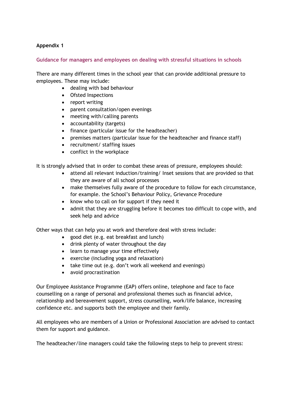## **Appendix 1**

## **Guidance for managers and employees on dealing with stressful situations in schools**

There are many different times in the school year that can provide additional pressure to employees. These may include:

- dealing with bad behaviour
- Ofsted Inspections
- report writing
- parent consultation/open evenings
- meeting with/calling parents
- accountability (targets)
- finance (particular issue for the headteacher)
- premises matters (particular issue for the headteacher and finance staff)
- recruitment/ staffing issues
- conflict in the workplace

It is strongly advised that in order to combat these areas of pressure, employees should:

- attend all relevant induction/training/ Inset sessions that are provided so that they are aware of all school processes
- make themselves fully aware of the procedure to follow for each circumstance, for example. the School's Behaviour Policy, Grievance Procedure
- know who to call on for support if they need it
- admit that they are struggling before it becomes too difficult to cope with, and seek help and advice

Other ways that can help you at work and therefore deal with stress include:

- good diet (e.g. eat breakfast and lunch)
- drink plenty of water throughout the day
- learn to manage your time effectively
- exercise (including yoga and relaxation)
- take time out (e.g. don't work all weekend and evenings)
- avoid procrastination

Our Employee Assistance Programme (EAP) offers online, telephone and face to face counselling on a range of personal and professional themes such as financial advice, relationship and bereavement support, stress counselling, work/life balance, increasing confidence etc. and supports both the employee and their family.

All employees who are members of a Union or Professional Association are advised to contact them for support and guidance.

The headteacher/line managers could take the following steps to help to prevent stress: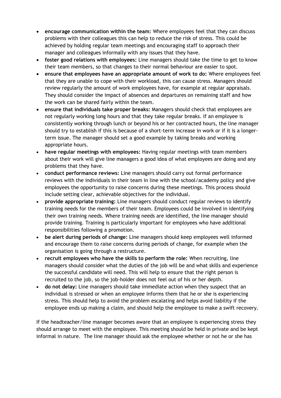- **encourage communication within the team:** Where employees feel that they can discuss problems with their colleagues this can help to reduce the risk of stress. This could be achieved by holding regular team meetings and encouraging staff to approach their manager and colleagues informally with any issues that they have.
- **foster good relations with employees:** Line managers should take the time to get to know their team members, so that changes to their normal behaviour are easier to spot.
- **ensure that employees have an appropriate amount of work to do:** Where employees feel that they are unable to cope with their workload, this can cause stress. Managers should review regularly the amount of work employees have, for example at regular appraisals. They should consider the impact of absences and departures on remaining staff and how the work can be shared fairly within the team.
- **ensure that individuals take proper breaks:** Managers should check that employees are not regularly working long hours and that they take regular breaks. If an employee is consistently working through lunch or beyond his or her contracted hours, the line manager should try to establish if this is because of a short-term increase in work or if it is a longerterm issue. The manager should set a good example by taking breaks and working appropriate hours.
- **have regular meetings with employees:** Having regular meetings with team members about their work will give line managers a good idea of what employees are doing and any problems that they have.
- **conduct performance reviews:** Line managers should carry out formal performance reviews with the individuals in their team in line with the school/academy policy and give employees the opportunity to raise concerns during these meetings. This process should include setting clear, achievable objectives for the individual.
- **provide appropriate training:** Line managers should conduct regular reviews to identify training needs for the members of their team. Employees could be involved in identifying their own training needs. Where training needs are identified, the line manager should provide training. Training is particularly important for employees who have additional responsibilities following a promotion.
- **be alert during periods of change:** Line managers should keep employees well informed and encourage them to raise concerns during periods of change, for example when the organisation is going through a restructure.
- **recruit employees who have the skills to perform the role:** When recruiting, line managers should consider what the duties of the job will be and what skills and experience the successful candidate will need. This will help to ensure that the right person is recruited to the job, so the job-holder does not feel out of his or her depth.
- **do not delay:** Line managers should take immediate action when they suspect that an individual is stressed or when an employee informs them that he or she is experiencing stress. This should help to avoid the problem escalating and helps avoid liability if the employee ends up making a claim, and should help the employee to make a swift recovery.

If the headteacher/line manager becomes aware that an employee is experiencing stress they should arrange to meet with the employee. This meeting should be held in private and be kept informal in nature. The line manager should ask the employee whether or not he or she has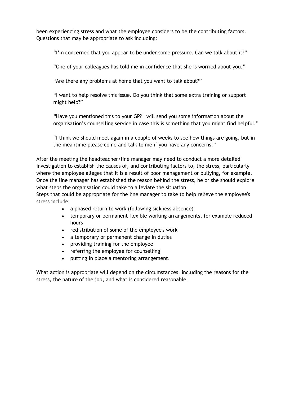been experiencing stress and what the employee considers to be the contributing factors. Questions that may be appropriate to ask including:

"I'm concerned that you appear to be under some pressure. Can we talk about it?"

"One of your colleagues has told me in confidence that she is worried about you."

"Are there any problems at home that you want to talk about?"

"I want to help resolve this issue. Do you think that some extra training or support might help?"

"Have you mentioned this to your GP? I will send you some information about the organisation's counselling service in case this is something that you might find helpful."

"I think we should meet again in a couple of weeks to see how things are going, but in the meantime please come and talk to me if you have any concerns."

After the meeting the headteacher/line manager may need to conduct a more detailed investigation to establish the causes of, and contributing factors to, the stress, particularly where the employee alleges that it is a result of poor management or bullying, for example. Once the line manager has established the reason behind the stress, he or she should explore what steps the organisation could take to alleviate the situation.

Steps that could be appropriate for the line manager to take to help relieve the employee's stress include:

- a phased return to work (following sickness absence)
- temporary or permanent flexible working arrangements, for example reduced hours
- redistribution of some of the employee's work
- a temporary or permanent change in duties
- providing training for the employee
- referring the employee for counselling
- putting in place a mentoring arrangement.

What action is appropriate will depend on the circumstances, including the reasons for the stress, the nature of the job, and what is considered reasonable.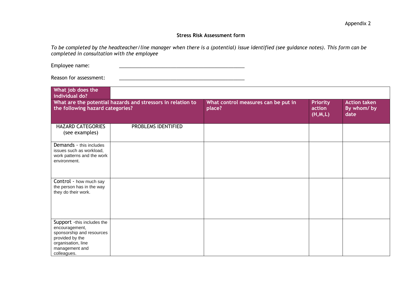## **Stress Risk Assessment form**

*To be completed by the headteacher/line manager when there is a (potential) issue identified (see guidance notes). This form can be completed in consultation with the employee*

Employee name:

Reason for assessment: \_\_\_\_\_\_\_\_\_\_\_\_\_\_\_\_\_\_\_\_\_\_\_\_\_\_\_\_\_\_\_\_\_\_\_\_\_\_\_\_\_\_\_\_\_\_

| What job does the<br>individual do?                                                                                                                 |                     |                                               |                                        |                                           |
|-----------------------------------------------------------------------------------------------------------------------------------------------------|---------------------|-----------------------------------------------|----------------------------------------|-------------------------------------------|
| What are the potential hazards and stressors in relation to<br>the following hazard categories?                                                     |                     | What control measures can be put in<br>place? | <b>Priority</b><br>action<br>(H, M, L) | <b>Action taken</b><br>By whom/by<br>date |
| <b>HAZARD CATEGORIES</b><br>(see examples)                                                                                                          | PROBLEMS IDENTIFIED |                                               |                                        |                                           |
| Demands - this includes<br>issues such as workload,<br>work patterns and the work<br>environment.                                                   |                     |                                               |                                        |                                           |
| Control - how much say<br>the person has in the way<br>they do their work.                                                                          |                     |                                               |                                        |                                           |
| Support -this includes the<br>encouragement,<br>sponsorship and resources<br>provided by the<br>organisation, line<br>management and<br>colleagues. |                     |                                               |                                        |                                           |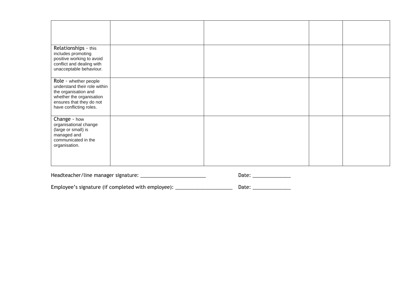| Relationships - this<br>includes promoting<br>positive working to avoid<br>conflict and dealing with<br>unacceptable behaviour.                                  |  |  |
|------------------------------------------------------------------------------------------------------------------------------------------------------------------|--|--|
| Role - whether people<br>understand their role within<br>the organisation and<br>whether the organisation<br>ensures that they do not<br>have conflicting roles. |  |  |
| Change - how<br>organisational change<br>(large or small) is<br>managed and<br>communicated in the<br>organisation.                                              |  |  |

| Headteacher/line manager signature: | Date: |
|-------------------------------------|-------|
|-------------------------------------|-------|

Employee's signature (if completed with employee): \_\_\_\_\_\_\_\_\_\_\_\_\_\_\_\_\_\_\_\_\_\_\_\_\_\_\_\_\_\_ Date: \_\_\_\_\_\_\_\_\_\_\_\_\_\_\_\_\_\_\_\_\_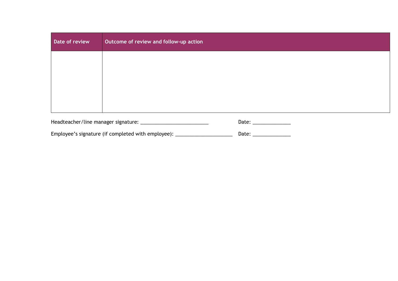| Date of review         | Outcome of review and follow-up action |  |
|------------------------|----------------------------------------|--|
|                        |                                        |  |
|                        |                                        |  |
|                        |                                        |  |
|                        |                                        |  |
| Date: ________________ |                                        |  |

Employee's signature (if completed with employee): \_\_\_\_\_\_\_\_\_\_\_\_\_\_\_\_\_\_\_\_\_\_\_\_\_\_\_\_\_\_ Date: \_\_\_\_\_\_\_\_\_\_\_\_\_\_\_\_\_\_\_\_\_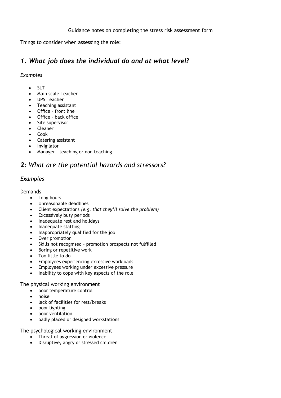Things to consider when assessing the role:

## *1. What job does the individual do and at what level?*

## *Examples*

- $\bullet$  SLT
- Main scale Teacher
- UPS Teacher
- Teaching assistant
- Office front line
- Office back office
- Site supervisor
- Cleaner
- Cook
- Catering assistant
- Invigilator
- Manager teaching or non teaching

## *2: What are the potential hazards and stressors?*

## *Examples*

## **Demands**

- Long hours
- Unreasonable deadlines
- Client expectations *(e.g. that they'll solve the problem)*
- Excessively busy periods
- Inadequate rest and holidays
- Inadequate staffing
- Inappropriately qualified for the job
- Over promotion
- Skills not recognised promotion prospects not fulfilled
- Boring or repetitive work
- Too little to do
- Employees experiencing excessive workloads
- Employees working under excessive pressure
- Inability to cope with key aspects of the role

The physical working environment

- poor temperature control
- noise
- lack of facilities for rest/breaks
- poor lighting
- poor ventilation
- badly placed or designed workstations

The psychological working environment

- Threat of aggression or violence
- Disruptive, angry or stressed children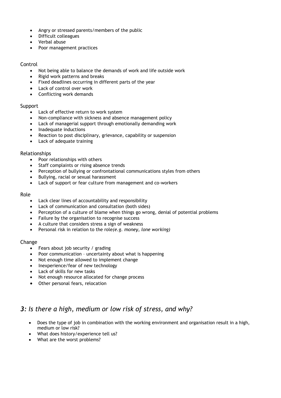- Angry or stressed parents/members of the public
- Difficult colleagues
- Verbal abuse
- Poor management practices

#### Control

- Not being able to balance the demands of work and life outside work
- Rigid work patterns and breaks
- Fixed deadlines occurring in different parts of the year
- Lack of control over work
- Conflicting work demands

## **Support**

- Lack of effective return to work system
- Non-compliance with sickness and absence management policy
- Lack of managerial support through emotionally demanding work
- Inadequate inductions
- Reaction to post disciplinary, grievance, capability or suspension
- Lack of adequate training

## Relationships

- Poor relationships with others
- Staff complaints or rising absence trends
- Perception of bullying or confrontational communications styles from others
- Bullying, racial or sexual harassment
- Lack of support or fear culture from management and co-workers

## Role

- Lack clear lines of accountability and responsibility
- Lack of communication and consultation (both sides)
- Perception of a culture of blame when things go wrong, denial of potential problems
- Failure by the organisation to recognise success
- A culture that considers stress a sign of weakness
- Personal risk in relation to the role*(e.g. money, lone working)*

#### Change

- Fears about job security / grading
- Poor communication uncertainty about what is happening
- Not enough time allowed to implement change
- Inexperience/fear of new technology
- Lack of skills for new tasks
- Not enough resource allocated for change process
- Other personal fears, relocation

## *3: Is there a high, medium or low risk of stress, and why?*

- Does the type of job in combination with the working environment and organisation result in a high, medium or low risk?
- What does history/experience tell us?
- What are the worst problems?